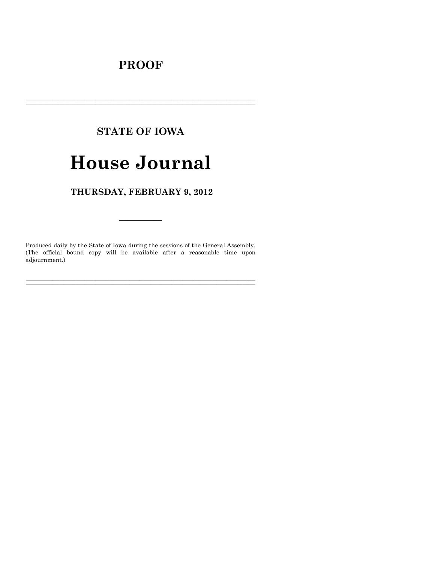# **PROOF**

## **STATE OF IOWA**

# **House Journal**

## THURSDAY, FEBRUARY 9, 2012

Produced daily by the State of Iowa during the sessions of the General Assembly. (The official bound copy will be available after a reasonable time upon adjournment.)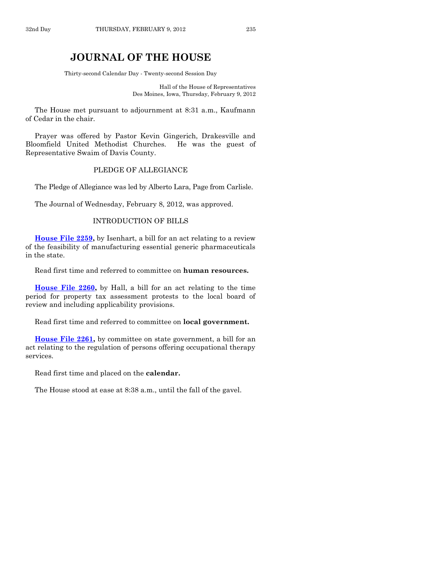## **JOURNAL OF THE HOUSE**

Thirty-second Calendar Day - Twenty-second Session Day

Hall of the House of Representatives Des Moines, Iowa, Thursday, February 9, 2012

The House met pursuant to adjournment at 8:31 a.m., Kaufmann of Cedar in the chair.

Prayer was offered by Pastor Kevin Gingerich, Drakesville and Bloomfield United Methodist Churches. He was the guest of Representative Swaim of Davis County.

## PLEDGE OF ALLEGIANCE

The Pledge of Allegiance was led by Alberto Lara, Page from Carlisle.

The Journal of Wednesday, February 8, 2012, was approved.

#### INTRODUCTION OF BILLS

**[House File 2259,](http://coolice.legis.state.ia.us/Cool-ICE/default.asp?Category=billinfo&Service=Billbook&frame=1&GA=84&hbill=HF2259)** by Isenhart, a bill for an act relating to a review of the feasibility of manufacturing essential generic pharmaceuticals in the state.

Read first time and referred to committee on **human resources.**

**[House File 2260,](http://coolice.legis.state.ia.us/Cool-ICE/default.asp?Category=billinfo&Service=Billbook&frame=1&GA=84&hbill=HF2260)** by Hall, a bill for an act relating to the time period for property tax assessment protests to the local board of review and including applicability provisions.

Read first time and referred to committee on **local government.**

**[House File 2261,](http://coolice.legis.state.ia.us/Cool-ICE/default.asp?Category=billinfo&Service=Billbook&frame=1&GA=84&hbill=HF2261)** by committee on state government, a bill for an act relating to the regulation of persons offering occupational therapy services.

Read first time and placed on the **calendar.**

The House stood at ease at 8:38 a.m., until the fall of the gavel.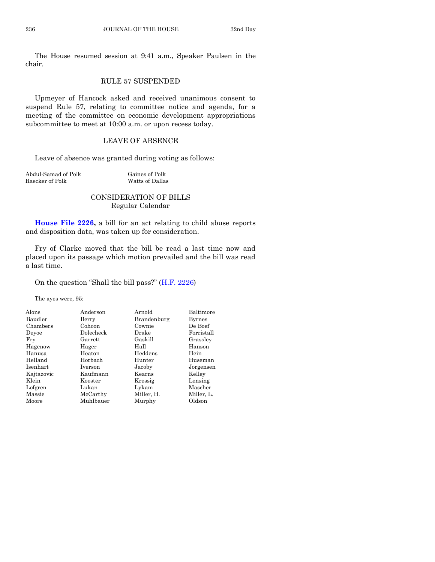The House resumed session at 9:41 a.m., Speaker Paulsen in the chair.

## RULE 57 SUSPENDED

Upmeyer of Hancock asked and received unanimous consent to suspend Rule 57, relating to committee notice and agenda, for a meeting of the committee on economic development appropriations subcommittee to meet at 10:00 a.m. or upon recess today.

## LEAVE OF ABSENCE

Leave of absence was granted during voting as follows:

Abdul-Samad of Polk Gaines of Polk Raecker of Polk Watts of Dallas

## CONSIDERATION OF BILLS Regular Calendar

**[House File 2226,](http://coolice.legis.state.ia.us/Cool-ICE/default.asp?Category=billinfo&Service=Billbook&frame=1&GA=84&hbill=HF2226)** a bill for an act relating to child abuse reports and disposition data, was taken up for consideration.

Fry of Clarke moved that the bill be read a last time now and placed upon its passage which motion prevailed and the bill was read a last time.

On the question "Shall the bill pass?"  $(\underline{H.F. 2226})$ 

The ayes were, 95:

| Alons      | Anderson  | Arnold      | Baltimore  |
|------------|-----------|-------------|------------|
| Baudler    | Berry     | Brandenburg | Byrnes     |
| Chambers   | Cohoon    | Cownie      | De Boef    |
| Devoe      | Dolecheck | Drake       | Forristall |
| Fry        | Garrett   | Gaskill     | Grassley   |
| Hagenow    | Hager     | Hall        | Hanson     |
| Hanusa     | Heaton    | Heddens     | Hein       |
| Helland    | Horbach   | Hunter      | Huseman    |
| Isenhart   | Iverson   | Jacoby      | Jorgensen  |
| Kajtazovic | Kaufmann  | Kearns      | Kelley     |
| Klein      | Koester   | Kressig     | Lensing    |
| Lofgren    | Lukan     | Lykam       | Mascher    |
| Massie     | McCarthy  | Miller, H.  | Miller, L. |
| Moore      | Muhlbauer | Murphy      | Oldson     |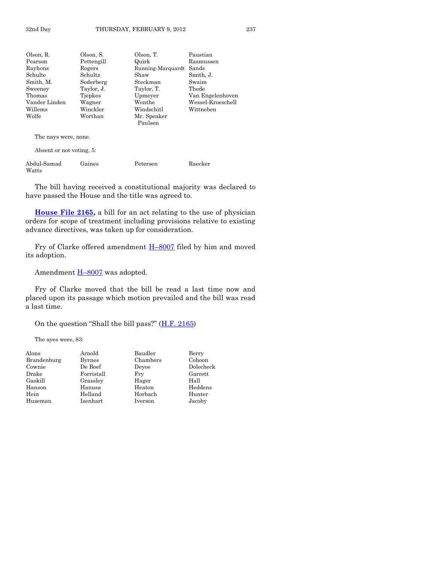| Olson, R.            | Olson, S.                | Olson, T.              | Paustian          |  |
|----------------------|--------------------------|------------------------|-------------------|--|
| Pearson              | Pettengill               | Quirk                  | Rasmussen         |  |
| Rayhons              | Rogers                   | Running-Marquardt      | Sands             |  |
| Schulte              | Schultz                  | Shaw                   | Smith, J.         |  |
| Smith, M.            | Soderberg                | Steckman               | Swaim             |  |
| Sweeney              | Taylor, J.               | Taylor, T.             | Thede             |  |
| Thomas               | Tiepkes                  | Upmeyer                | Van Engelenhoven  |  |
| Vander Linden        | Wagner                   | Wenthe                 | Wessel-Kroeschell |  |
| Willems              | Winckler                 | Windschitl             | Wittneben         |  |
| Wolfe                | Worthan                  | Mr. Speaker<br>Paulsen |                   |  |
| The nays were, none. |                          |                        |                   |  |
|                      | Absent or not voting, 5: |                        |                   |  |

| Abdul-Samad | Gaines | Petersen | Raecker |
|-------------|--------|----------|---------|
| Watts       |        |          |         |

The bill having received a constitutional majority was declared to have passed the House and the title was agreed to.

**[House File 2165,](http://coolice.legis.state.ia.us/Cool-ICE/default.asp?Category=billinfo&Service=Billbook&frame=1&GA=84&hbill=HF2165)** a bill for an act relating to the use of physician orders for scope of treatment including provisions relative to existing advance directives, was taken up for consideration.

Fry of Clarke offered amendment H–[8007](http://coolice.legis.state.ia.us/Cool-ICE/default.asp?Category=billinfo&Service=Billbook&frame=1&GA=84&hbill=H8007) filed by him and moved its adoption.

Amendment **H-[8007](http://coolice.legis.state.ia.us/Cool-ICE/default.asp?Category=billinfo&Service=Billbook&frame=1&GA=84&hbill=H8007)** was adopted.

Fry of Clarke moved that the bill be read a last time now and placed upon its passage which motion prevailed and the bill was read a last time.

On the question "Shall the bill pass?" ([H.F. 2165\)](http://coolice.legis.state.ia.us/Cool-ICE/default.asp?Category=billinfo&Service=Billbook&frame=1&GA=84&hbill=HF2165)

The ayes were, 83:

| Alons       | Arnold        | Baudler  | Berry     |
|-------------|---------------|----------|-----------|
| Brandenburg | <b>Byrnes</b> | Chambers | Cohoon    |
| Cownie      | De Boef       | Devoe    | Dolecheck |
| Drake       | Forristall    | Fry      | Garrett   |
| Gaskill     | Grassley      | Hager    | Hall      |
| Hanson      | Hanusa        | Heaton   | Heddens   |
| Hein        | Helland       | Horbach  | Hunter    |
| Huseman     | Isenhart      | Iverson  | Jacoby    |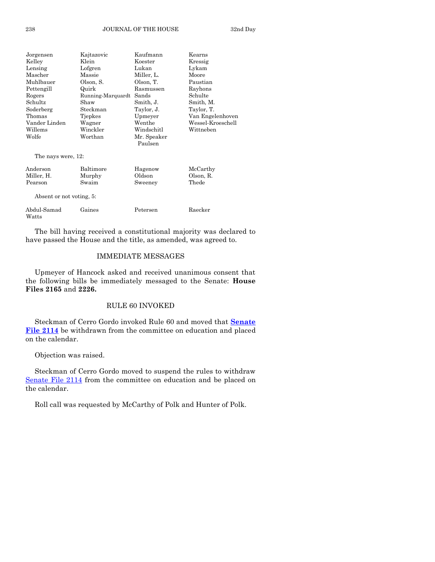| Jorgensen                | Kajtazovic        | Kaufmann               | Kearns            |
|--------------------------|-------------------|------------------------|-------------------|
| Klein<br>Kelley          |                   | Koester                | Kressig           |
| Lensing                  | Lofgren           | Lukan                  | Lykam             |
| Mascher                  | Massie            | Miller, L.             | Moore             |
| Muhlbauer                | Olson, S.         | Olson, T.              | Paustian          |
| Pettengill               | Quirk             | Rasmussen              | Rayhons           |
| Rogers                   | Running-Marquardt | Sands                  | Schulte           |
| Schultz                  | Shaw              | Smith, J.              | Smith, M.         |
| Soderberg                | Steckman          | Taylor, J.             | Taylor, T.        |
| Thomas                   | Tjepkes           | Upmeyer                | Van Engelenhoven  |
| Vander Linden            | Wagner            | Wenthe                 | Wessel-Kroeschell |
| Willems                  | Winckler          | Windschitl             | Wittneben         |
| Worthan<br>Wolfe         |                   | Mr. Speaker<br>Paulsen |                   |
| The nays were, 12:       |                   |                        |                   |
| Anderson                 | Baltimore         | Hagenow                | McCarthy          |
| Miller, H.               | Murphy            | Oldson                 | Olson, R.         |
| Swaim<br>Pearson         |                   | Sweeney                | Thede             |
| Absent or not voting, 5: |                   |                        |                   |
| Abdul-Samad<br>Watts     | Gaines            | Petersen               | Raecker           |

The bill having received a constitutional majority was declared to have passed the House and the title, as amended, was agreed to.

## IMMEDIATE MESSAGES

Upmeyer of Hancock asked and received unanimous consent that the following bills be immediately messaged to the Senate: **House Files 2165** and **2226.**

## RULE 60 INVOKED

Steckman of Cerro Gordo invoked Rule 60 and moved that **[Senate](http://coolice.legis.state.ia.us/Cool-ICE/default.asp?Category=billinfo&Service=Billbook&frame=1&GA=84&hbill=SF2114)  [File 2114](http://coolice.legis.state.ia.us/Cool-ICE/default.asp?Category=billinfo&Service=Billbook&frame=1&GA=84&hbill=SF2114)** be withdrawn from the committee on education and placed on the calendar.

Objection was raised.

Steckman of Cerro Gordo moved to suspend the rules to withdraw [Senate File 2114](http://coolice.legis.state.ia.us/Cool-ICE/default.asp?Category=billinfo&Service=Billbook&frame=1&GA=84&hbill=SF2114) from the committee on education and be placed on the calendar.

Roll call was requested by McCarthy of Polk and Hunter of Polk.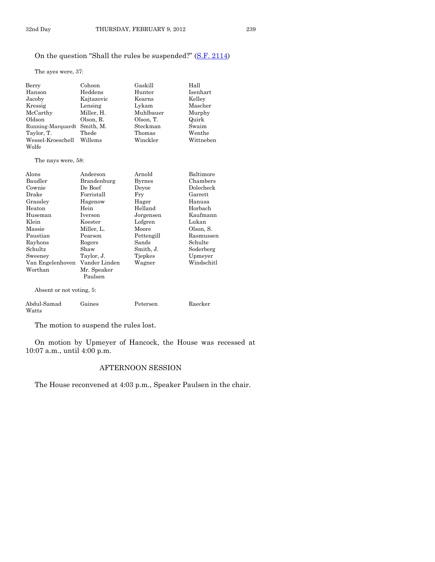The ayes were, 37:

| Berry                       | Cohoon     | Gaskill   | Hall      |
|-----------------------------|------------|-----------|-----------|
| Hanson                      | Heddens    | Hunter    | Isenhart  |
| Jacoby                      | Kajtazovic | Kearns    | Kelley    |
| Kressig                     | Lensing    | Lykam     | Mascher   |
| McCarthy                    | Miller, H. | Muhlbauer | Murphy    |
| Oldson                      | Olson, R.  | Olson, T. | Quirk     |
| Running-Marquardt Smith, M. |            | Steckman  | Swaim     |
| Taylor, T.                  | Thede      | Thomas    | Wenthe    |
| Wessel-Kroeschell Willems   |            | Winckler  | Wittneben |
| Wolfe                       |            |           |           |

The nays were, 58:

| Alons                    | Anderson         | Arnold        | Baltimore  |
|--------------------------|------------------|---------------|------------|
| Baudler                  | Brandenburg      | <b>Byrnes</b> | Chambers   |
| Cownie                   | De Boef          | Devoe         | Dolecheck  |
| Drake                    | $\rm Forristall$ | Fry           | Garrett    |
| Grassley                 | Hagenow          | Hager         | Hanusa     |
| Heaton                   | Hein             | Helland       | Horbach    |
| Huseman                  | Iverson          | Jorgensen     | Kaufmann   |
| Klein                    | Koester          | Lofgren       | Lukan      |
| Massie                   | Miller, L.       | Moore         | Olson, S.  |
| Paustian                 | Pearson          | Pettengill    | Rasmussen  |
| Rayhons                  | Rogers           | Sands         | Schulte    |
| Schultz                  | Shaw             | Smith, J.     | Soderberg  |
| Sweeney                  | Taylor, J.       | Tiepkes       | Upmeyer    |
| Van Engelenhoven         | Vander Linden    | Wagner        | Windschitl |
| Worthan                  | Mr. Speaker      |               |            |
|                          | Paulsen          |               |            |
| Absent or not voting, 5: |                  |               |            |

Abdul-Samad Gaines Petersen Raecker Watts

The motion to suspend the rules lost.

On motion by Upmeyer of Hancock, the House was recessed at 10:07 a.m., until 4:00 p.m.

## AFTERNOON SESSION

The House reconvened at 4:03 p.m., Speaker Paulsen in the chair.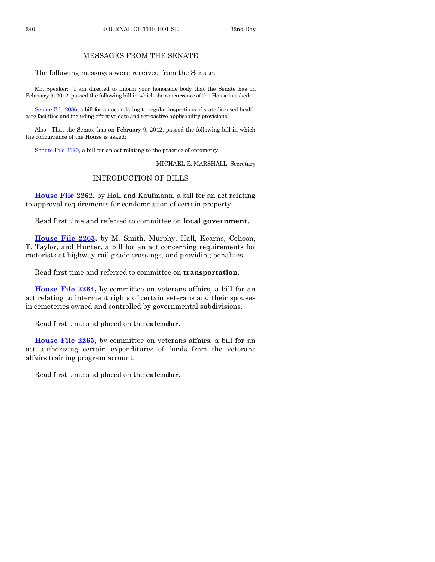## MESSAGES FROM THE SENATE

The following messages were received from the Senate:

Mr. Speaker: I am directed to inform your honorable body that the Senate has on February 9, 2012, passed the following bill in which the concurrence of the House is asked:

[Senate File 2086,](http://coolice.legis.state.ia.us/Cool-ICE/default.asp?Category=billinfo&Service=Billbook&frame=1&GA=84&hbill=SF2086) a bill for an act relating to regular inspections of state-licensed health care facilities and including effective date and retroactive applicability provisions.

Also: That the Senate has on February 9, 2012, passed the following bill in which the concurrence of the House is asked:

[Senate File 2120,](http://coolice.legis.state.ia.us/Cool-ICE/default.asp?Category=billinfo&Service=Billbook&frame=1&GA=84&hbill=SF2120) a bill for an act relating to the practice of optometry.

MICHAEL E. MARSHALL, Secretary

## INTRODUCTION OF BILLS

**[House File 2262,](http://coolice.legis.state.ia.us/Cool-ICE/default.asp?Category=billinfo&Service=Billbook&frame=1&GA=84&hbill=HF2262)** by Hall and Kaufmann, a bill for an act relating to approval requirements for condemnation of certain property.

Read first time and referred to committee on **local government.**

**[House File 2263,](http://coolice.legis.state.ia.us/Cool-ICE/default.asp?Category=billinfo&Service=Billbook&frame=1&GA=84&hbill=HF2263)** by M. Smith, Murphy, Hall, Kearns, Cohoon, T. Taylor, and Hunter, a bill for an act concerning requirements for motorists at highway-rail grade crossings, and providing penalties.

Read first time and referred to committee on **transportation.**

**House [File 2264,](http://coolice.legis.state.ia.us/Cool-ICE/default.asp?Category=billinfo&Service=Billbook&frame=1&GA=84&hbill=HF2264)** by committee on veterans affairs, a bill for an act relating to interment rights of certain veterans and their spouses in cemeteries owned and controlled by governmental subdivisions.

Read first time and placed on the **calendar.**

**[House File 2265,](http://coolice.legis.state.ia.us/Cool-ICE/default.asp?Category=billinfo&Service=Billbook&frame=1&GA=84&hbill=HF2265)** by committee on veterans affairs, a bill for an act authorizing certain expenditures of funds from the veterans affairs training program account.

Read first time and placed on the **calendar.**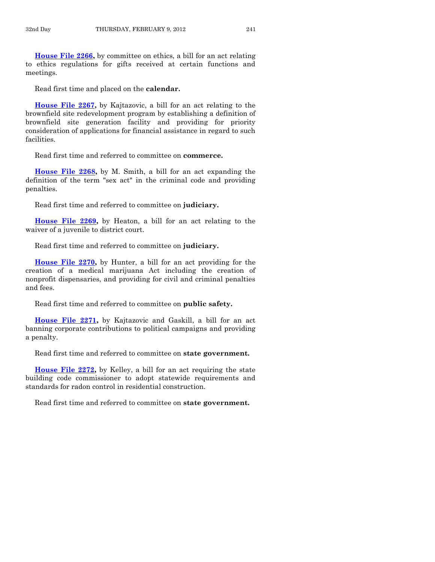**[House File 2266,](http://coolice.legis.state.ia.us/Cool-ICE/default.asp?Category=billinfo&Service=Billbook&frame=1&GA=84&hbill=HF2266)** by committee on ethics, a bill for an act relating to ethics regulations for gifts received at certain functions and meetings.

Read first time and placed on the **calendar.**

**[House File 2267,](http://coolice.legis.state.ia.us/Cool-ICE/default.asp?Category=billinfo&Service=Billbook&frame=1&GA=84&hbill=HF2267)** by Kajtazovic, a bill for an act relating to the brownfield site redevelopment program by establishing a definition of brownfield site generation facility and providing for priority consideration of applications for financial assistance in regard to such facilities.

Read first time and referred to committee on **commerce.**

**[House File 2268,](http://coolice.legis.state.ia.us/Cool-ICE/default.asp?Category=billinfo&Service=Billbook&frame=1&GA=84&hbill=HF2268)** by M. Smith, a bill for an act expanding the definition of the term "sex act" in the criminal code and providing penalties.

Read first time and referred to committee on **judiciary.**

**[House File 2269,](http://coolice.legis.state.ia.us/Cool-ICE/default.asp?Category=billinfo&Service=Billbook&frame=1&GA=84&hbill=HF2269)** by Heaton, a bill for an act relating to the waiver of a juvenile to district court.

Read first time and referred to committee on **judiciary.**

**[House File 2270,](http://coolice.legis.state.ia.us/Cool-ICE/default.asp?Category=billinfo&Service=Billbook&frame=1&GA=84&hbill=HF2270)** by Hunter, a bill for an act providing for the creation of a medical marijuana Act including the creation of nonprofit dispensaries, and providing for civil and criminal penalties and fees.

Read first time and referred to committee on **public safety.**

**[House File 2271,](http://coolice.legis.state.ia.us/Cool-ICE/default.asp?Category=billinfo&Service=Billbook&frame=1&GA=84&hbill=HF2271)** by Kajtazovic and Gaskill, a bill for an act banning corporate contributions to political campaigns and providing a penalty.

Read first time and referred to committee on **state government.**

**[House File 2272,](http://coolice.legis.state.ia.us/Cool-ICE/default.asp?Category=billinfo&Service=Billbook&frame=1&GA=84&hbill=HF2272)** by Kelley, a bill for an act requiring the state building code commissioner to adopt statewide requirements and standards for radon control in residential construction.

Read first time and referred to committee on **state government.**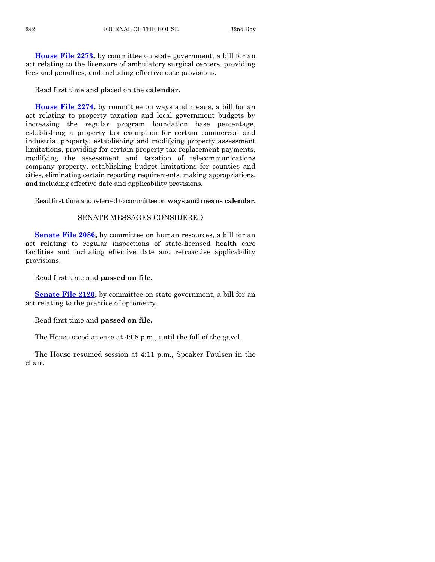**[House File 2273,](http://coolice.legis.state.ia.us/Cool-ICE/default.asp?Category=billinfo&Service=Billbook&frame=1&GA=84&hbill=HF2273)** by committee on state government, a bill for an act relating to the licensure of ambulatory surgical centers, providing fees and penalties, and including effective date provisions.

Read first time and placed on the **calendar.**

**[House File 2274,](http://coolice.legis.state.ia.us/Cool-ICE/default.asp?Category=billinfo&Service=Billbook&frame=1&GA=84&hbill=HF2274)** by committee on ways and means, a bill for an act relating to property taxation and local government budgets by increasing the regular program foundation base percentage, establishing a property tax exemption for certain commercial and industrial property, establishing and modifying property assessment limitations, providing for certain property tax replacement payments, modifying the assessment and taxation of telecommunications company property, establishing budget limitations for counties and cities, eliminating certain reporting requirements, making appropriations, and including effective date and applicability provisions.

Read first time and referred to committee on **ways and means calendar.**

## SENATE MESSAGES CONSIDERED

**[Senate File 2086,](http://coolice.legis.state.ia.us/Cool-ICE/default.asp?Category=billinfo&Service=Billbook&frame=1&GA=84&hbill=SF2086)** by committee on human resources, a bill for an act relating to regular inspections of state-licensed health care facilities and including effective date and retroactive applicability provisions.

Read first time and **passed on file.** 

**[Senate File 2120,](http://coolice.legis.state.ia.us/Cool-ICE/default.asp?Category=billinfo&Service=Billbook&frame=1&GA=84&hbill=SF2120)** by committee on state government, a bill for an act relating to the practice of optometry.

Read first time and **passed on file.**

The House stood at ease at 4:08 p.m., until the fall of the gavel.

The House resumed session at 4:11 p.m., Speaker Paulsen in the chair.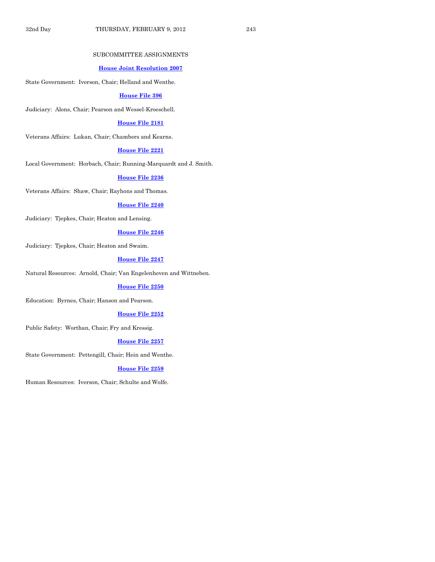#### SUBCOMMITTEE ASSIGNMENTS

### **[House Joint Resolution 2007](http://coolice.legis.state.ia.us/Cool-ICE/default.asp?Category=billinfo&Service=Billbook&frame=1&GA=84&hbill=HJR2007)**

State Government: Iverson, Chair; Helland and Wenthe.

#### **[House File 396](http://coolice.legis.state.ia.us/Cool-ICE/default.asp?Category=billinfo&Service=Billbook&frame=1&GA=84&hbill=HF396)**

Judiciary: Alons, Chair; Pearson and Wessel-Kroeschell.

#### **[House File 2181](http://coolice.legis.state.ia.us/Cool-ICE/default.asp?Category=billinfo&Service=Billbook&frame=1&GA=84&hbill=HF2181)**

Veterans Affairs: Lukan, Chair; Chambers and Kearns.

## **[House File 2221](http://coolice.legis.state.ia.us/Cool-ICE/default.asp?Category=billinfo&Service=Billbook&frame=1&GA=84&hbill=HF2221)**

Local Government: Horbach, Chair; Running-Marquardt and J. Smith.

#### **[House File 2236](http://coolice.legis.state.ia.us/Cool-ICE/default.asp?Category=billinfo&Service=Billbook&frame=1&GA=84&hbill=HF2236)**

Veterans Affairs: Shaw, Chair; Rayhons and Thomas.

#### **[House File 2240](http://coolice.legis.state.ia.us/Cool-ICE/default.asp?Category=billinfo&Service=Billbook&frame=1&GA=84&hbill=HF2240)**

Judiciary: Tjepkes, Chair; Heaton and Lensing.

## **[House File 2246](http://coolice.legis.state.ia.us/Cool-ICE/default.asp?Category=billinfo&Service=Billbook&frame=1&GA=84&hbill=HF2246)**

Judiciary: Tjepkes, Chair; Heaton and Swaim.

## **[House File 2247](http://coolice.legis.state.ia.us/Cool-ICE/default.asp?Category=billinfo&Service=Billbook&frame=1&GA=84&hbill=HF2247)**

Natural Resources: Arnold, Chair; Van Engelenhoven and Wittneben.

#### **[House File 2250](http://coolice.legis.state.ia.us/Cool-ICE/default.asp?Category=billinfo&Service=Billbook&frame=1&GA=84&hbill=HF2250)**

Education: Byrnes, Chair; Hanson and Pearson.

#### **[House File 2252](http://coolice.legis.state.ia.us/Cool-ICE/default.asp?Category=billinfo&Service=Billbook&frame=1&GA=84&hbill=HF2252)**

Public Safety: Worthan, Chair; Fry and Kressig.

#### **[House File 2257](http://coolice.legis.state.ia.us/Cool-ICE/default.asp?Category=billinfo&Service=Billbook&frame=1&GA=84&hbill=HF2257)**

State Government: Pettengill, Chair; Hein and Wenthe.

#### **[House File 2259](http://coolice.legis.state.ia.us/Cool-ICE/default.asp?Category=billinfo&Service=Billbook&frame=1&GA=84&hbill=HF2259)**

Human Resources: Iverson, Chair; Schulte and Wolfe.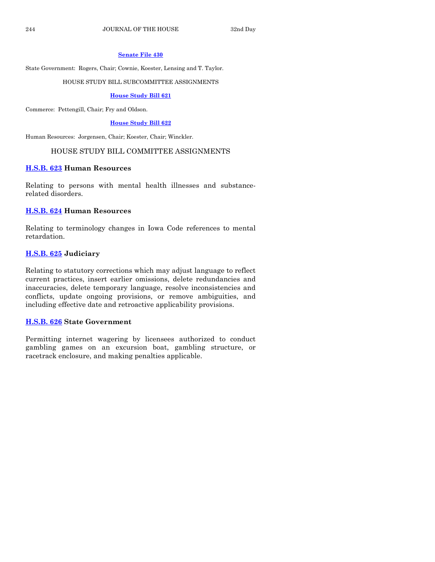## **[Senate File 430](http://coolice.legis.state.ia.us/Cool-ICE/default.asp?Category=billinfo&Service=Billbook&frame=1&GA=84&hbill=SF430)**

State Government: Rogers, Chair; Cownie, Koester, Lensing and T. Taylor.

## HOUSE STUDY BILL SUBCOMMITTEE ASSIGNMENTS

## **[House Study Bill 621](http://coolice.legis.state.ia.us/Cool-ICE/default.asp?Category=billinfo&Service=Billbook&frame=1&GA=84&hbill=HSB621)**

Commerce: Pettengill, Chair; Fry and Oldson.

## **[House Study Bill 622](http://coolice.legis.state.ia.us/Cool-ICE/default.asp?Category=billinfo&Service=Billbook&frame=1&GA=84&hbill=HSB622)**

Human Resources: Jorgensen, Chair; Koester, Chair; Winckler.

## HOUSE STUDY BILL COMMITTEE ASSIGNMENTS

## **[H.S.B. 623](http://coolice.legis.state.ia.us/Cool-ICE/default.asp?Category=billinfo&Service=Billbook&frame=1&GA=84&hbill=HSB623) Human Resources**

Relating to persons with mental health illnesses and substancerelated disorders.

## **[H.S.B. 624](http://coolice.legis.state.ia.us/Cool-ICE/default.asp?Category=billinfo&Service=Billbook&frame=1&GA=84&hbill=HSB624) Human Resources**

Relating to terminology changes in Iowa Code references to mental retardation.

## **[H.S.B. 625](http://coolice.legis.state.ia.us/Cool-ICE/default.asp?Category=billinfo&Service=Billbook&frame=1&GA=84&hbill=HSB625) Judiciary**

Relating to statutory corrections which may adjust language to reflect current practices, insert earlier omissions, delete redundancies and inaccuracies, delete temporary language, resolve inconsistencies and conflicts, update ongoing provisions, or remove ambiguities, and including effective date and retroactive applicability provisions.

## **[H.S.B. 626](http://coolice.legis.state.ia.us/Cool-ICE/default.asp?Category=billinfo&Service=Billbook&frame=1&GA=84&hbill=HSB626) State Government**

Permitting internet wagering by licensees authorized to conduct gambling games on an excursion boat, gambling structure, or racetrack enclosure, and making penalties applicable.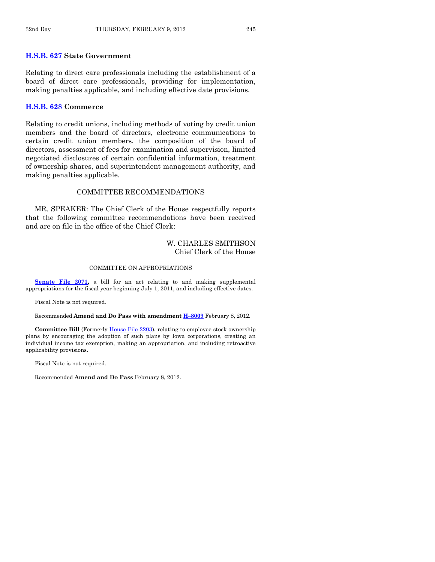## **[H.S.B. 627](http://coolice.legis.state.ia.us/Cool-ICE/default.asp?Category=billinfo&Service=Billbook&frame=1&GA=84&hbill=HSB627) State Government**

Relating to direct care professionals including the establishment of a board of direct care professionals, providing for implementation, making penalties applicable, and including effective date provisions.

#### **[H.S.B. 628](http://coolice.legis.state.ia.us/Cool-ICE/default.asp?Category=billinfo&Service=Billbook&frame=1&GA=84&hbill=HSB628) Commerce**

Relating to credit unions, including methods of voting by credit union members and the board of directors, electronic communications to certain credit union members, the composition of the board of directors, assessment of fees for examination and supervision, limited negotiated disclosures of certain confidential information, treatment of ownership shares, and superintendent management authority, and making penalties applicable.

## COMMITTEE RECOMMENDATIONS

MR. SPEAKER: The Chief Clerk of the House respectfully reports that the following committee recommendations have been received and are on file in the office of the Chief Clerk:

## W. CHARLES SMITHSON Chief Clerk of the House

#### COMMITTEE ON APPROPRIATIONS

**[Senate File 2071,](http://coolice.legis.state.ia.us/Cool-ICE/default.asp?Category=billinfo&Service=Billbook&frame=1&GA=84&hbill=SF2071)** a bill for an act relating to and making supplemental appropriations for the fiscal year beginning July 1, 2011, and including effective dates.

Fiscal Note is not required.

Recommended **Amend and Do Pass with amendment H–[8009](http://coolice.legis.state.ia.us/Cool-ICE/default.asp?Category=billinfo&Service=Billbook&frame=1&GA=84&hbill=H8009)** February 8, 2012.

**Committee Bill** (Formerly [House File 2203\)](http://coolice.legis.state.ia.us/Cool-ICE/default.asp?Category=billinfo&Service=Billbook&frame=1&GA=84&hbill=HF2203), relating to employee stock ownership plans by encouraging the adoption of such plans by Iowa corporations, creating an individual income tax exemption, making an appropriation, and including retroactive applicability provisions.

Fiscal Note is not required.

Recommended **Amend and Do Pass** February 8, 2012.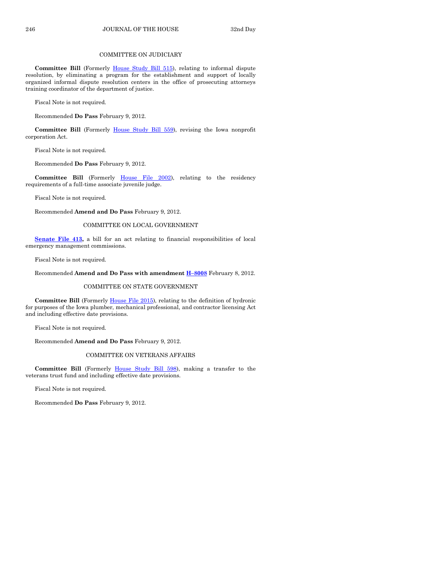## COMMITTEE ON JUDICIARY

**Committee Bill** (Formerly [House Study Bill 515\)](http://coolice.legis.state.ia.us/Cool-ICE/default.asp?Category=billinfo&Service=Billbook&frame=1&GA=84&hbill=HSB515), relating to informal dispute resolution, by eliminating a program for the establishment and support of locally organized informal dispute resolution centers in the office of prosecuting attorneys training coordinator of the department of justice.

Fiscal Note is not required.

Recommended **Do Pass** February 9, 2012.

Committee Bill (Formerly [House Study Bill 559\)](http://coolice.legis.state.ia.us/Cool-ICE/default.asp?Category=billinfo&Service=Billbook&frame=1&GA=84&hbill=HSB559), revising the Iowa nonprofit corporation Act.

Fiscal Note is not required.

Recommended **Do Pass** February 9, 2012.

**Committee Bill** (Formerly [House File 2002\)](http://coolice.legis.state.ia.us/Cool-ICE/default.asp?Category=billinfo&Service=Billbook&frame=1&GA=84&hbill=HF2002), relating to the residency requirements of a full-time associate juvenile judge.

Fiscal Note is not required.

Recommended **Amend and Do Pass** February 9, 2012.

#### COMMITTEE ON LOCAL GOVERNMENT

**[Senate File 413,](http://coolice.legis.state.ia.us/Cool-ICE/default.asp?Category=billinfo&Service=Billbook&frame=1&GA=84&hbill=SF413)** a bill for an act relating to financial responsibilities of local emergency management commissions.

Fiscal Note is not required.

Recommended **Amend and Do Pass with amendment H–[8008](http://coolice.legis.state.ia.us/Cool-ICE/default.asp?Category=billinfo&Service=Billbook&frame=1&GA=84&hbill=H8008)** February 8, 2012.

#### COMMITTEE ON STATE GOVERNMENT

**Committee Bill** (Formerl[y House File 2015\)](http://coolice.legis.state.ia.us/Cool-ICE/default.asp?Category=billinfo&Service=Billbook&frame=1&GA=84&hbill=HF2015), relating to the definition of hydronic for purposes of the Iowa plumber, mechanical professional, and contractor licensing Act and including effective date provisions.

Fiscal Note is not required.

Recommended **Amend and Do Pass** February 9, 2012.

#### COMMITTEE ON VETERANS AFFAIRS

**Committee Bill** (Formerly [House Study Bill 598\)](http://coolice.legis.state.ia.us/Cool-ICE/default.asp?Category=billinfo&Service=Billbook&frame=1&GA=84&hbill=HSB598), making a transfer to the veterans trust fund and including effective date provisions.

Fiscal Note is not required.

Recommended **Do Pass** February 9, 2012.